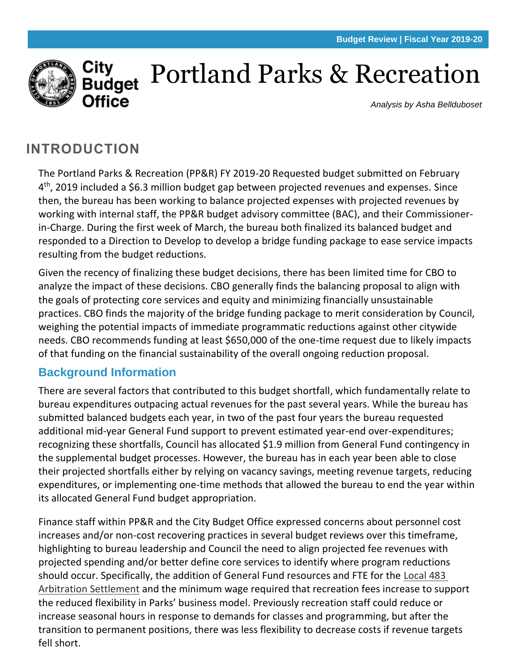

# Portland Parks & Recreation

*Analysis by Asha Bellduboset*

# **INTRODUCTION**

The Portland Parks & Recreation (PP&R) FY 2019-20 Requested budget submitted on February 4<sup>th</sup>, 2019 included a \$6.3 million budget gap between projected revenues and expenses. Since then, the bureau has been working to balance projected expenses with projected revenues by working with internal staff, the PP&R budget advisory committee (BAC), and their Commissionerin-Charge. During the first week of March, the bureau both finalized its balanced budget and responded to a Direction to Develop to develop a bridge funding package to ease service impacts resulting from the budget reductions.

Given the recency of finalizing these budget decisions, there has been limited time for CBO to analyze the impact of these decisions. CBO generally finds the balancing proposal to align with the goals of protecting core services and equity and minimizing financially unsustainable practices. CBO finds the majority of the bridge funding package to merit consideration by Council, weighing the potential impacts of immediate programmatic reductions against other citywide needs. CBO recommends funding at least \$650,000 of the one-time request due to likely impacts of that funding on the financial sustainability of the overall ongoing reduction proposal.

# **Background Information**

There are several factors that contributed to this budget shortfall, which fundamentally relate to bureau expenditures outpacing actual revenues for the past several years. While the bureau has submitted balanced budgets each year, in two of the past four years the bureau requested additional mid-year General Fund support to prevent estimated year-end over-expenditures; recognizing these shortfalls, Council has allocated \$1.9 million from General Fund contingency in the supplemental budget processes. However, the bureau has in each year been able to close their projected shortfalls either by relying on vacancy savings, meeting revenue targets, reducing expenditures, or implementing one-time methods that allowed the bureau to end the year within its allocated General Fund budget appropriation.

Finance staff within PP&R and the City Budget Office expressed concerns about personnel cost increases and/or non-cost recovering practices in several budget reviews over this timeframe, highlighting to bureau leadership and Council the need to align projected fee revenues with projected spending and/or better define core services to identify where program reductions should occur. Specifically, the addition of General Fund resources and FTE for the Local 483 [Arbitration Settlement](https://www.portlandoregon.gov/cbo/article/567867#page=4) and the minimum wage required that recreation fees increase to support the reduced flexibility in Parks' business model. Previously recreation staff could reduce or increase seasonal hours in response to demands for classes and programming, but after the transition to permanent positions, there was less flexibility to decrease costs if revenue targets fell short.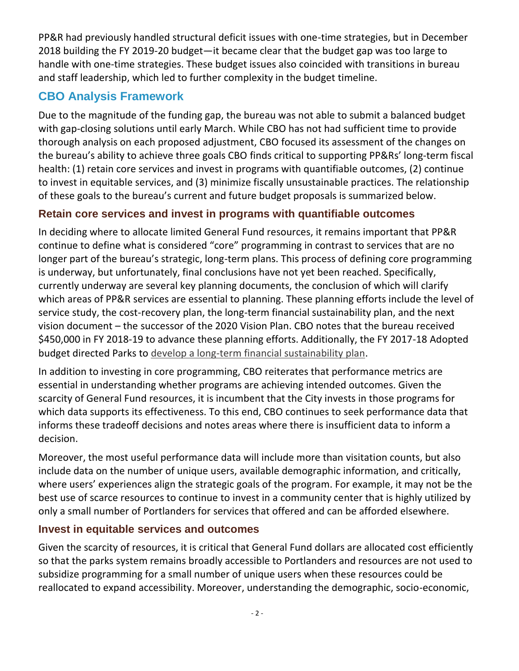PP&R had previously handled structural deficit issues with one-time strategies, but in December 2018 building the FY 2019-20 budget—it became clear that the budget gap was too large to handle with one-time strategies. These budget issues also coincided with transitions in bureau and staff leadership, which led to further complexity in the budget timeline.

# **CBO Analysis Framework**

Due to the magnitude of the funding gap, the bureau was not able to submit a balanced budget with gap-closing solutions until early March. While CBO has not had sufficient time to provide thorough analysis on each proposed adjustment, CBO focused its assessment of the changes on the bureau's ability to achieve three goals CBO finds critical to supporting PP&Rs' long-term fiscal health: (1) retain core services and invest in programs with quantifiable outcomes, (2) continue to invest in equitable services, and (3) minimize fiscally unsustainable practices. The relationship of these goals to the bureau's current and future budget proposals is summarized below.

## **Retain core services and invest in programs with quantifiable outcomes**

In deciding where to allocate limited General Fund resources, it remains important that PP&R continue to define what is considered "core" programming in contrast to services that are no longer part of the bureau's strategic, long-term plans. This process of defining core programming is underway, but unfortunately, final conclusions have not yet been reached. Specifically, currently underway are several key planning documents, the conclusion of which will clarify which areas of PP&R services are essential to planning. These planning efforts include the level of service study, the cost-recovery plan, the long-term financial sustainability plan, and the next vision document – the successor of the 2020 Vision Plan. CBO notes that the bureau received \$450,000 in FY 2018-19 to advance these planning efforts. Additionally, the FY 2017-18 Adopted budget directed Parks to [develop a long-term financial sustainability plan.](https://www.portlandoregon.gov/cbo/article/649444#page=80)

In addition to investing in core programming, CBO reiterates that performance metrics are essential in understanding whether programs are achieving intended outcomes. Given the scarcity of General Fund resources, it is incumbent that the City invests in those programs for which data supports its effectiveness. To this end, CBO continues to seek performance data that informs these tradeoff decisions and notes areas where there is insufficient data to inform a decision.

Moreover, the most useful performance data will include more than visitation counts, but also include data on the number of unique users, available demographic information, and critically, where users' experiences align the strategic goals of the program. For example, it may not be the best use of scarce resources to continue to invest in a community center that is highly utilized by only a small number of Portlanders for services that offered and can be afforded elsewhere.

#### **Invest in equitable services and outcomes**

Given the scarcity of resources, it is critical that General Fund dollars are allocated cost efficiently so that the parks system remains broadly accessible to Portlanders and resources are not used to subsidize programming for a small number of unique users when these resources could be reallocated to expand accessibility. Moreover, understanding the demographic, socio-economic,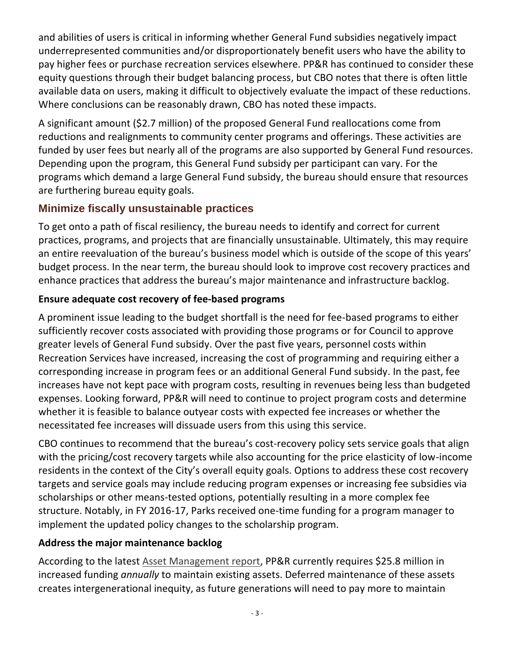and abilities of users is critical in informing whether General Fund subsidies negatively impact underrepresented communities and/or disproportionately benefit users who have the ability to pay higher fees or purchase recreation services elsewhere. PP&R has continued to consider these equity questions through their budget balancing process, but CBO notes that there is often little available data on users, making it difficult to objectively evaluate the impact of these reductions. Where conclusions can be reasonably drawn, CBO has noted these impacts.

A significant amount (\$2.7 million) of the proposed General Fund reallocations come from reductions and realignments to community center programs and offerings. These activities are funded by user fees but nearly all of the programs are also supported by General Fund resources. Depending upon the program, this General Fund subsidy per participant can vary. For the programs which demand a large General Fund subsidy, the bureau should ensure that resources are furthering bureau equity goals.

## **Minimize fiscally unsustainable practices**

To get onto a path of fiscal resiliency, the bureau needs to identify and correct for current practices, programs, and projects that are financially unsustainable. Ultimately, this may require an entire reevaluation of the bureau's business model which is outside of the scope of this years' budget process. In the near term, the bureau should look to improve cost recovery practices and enhance practices that address the bureau's major maintenance and infrastructure backlog.

#### **Ensure adequate cost recovery of fee-based programs**

A prominent issue leading to the budget shortfall is the need for fee-based programs to either sufficiently recover costs associated with providing those programs or for Council to approve greater levels of General Fund subsidy. Over the past five years, personnel costs within Recreation Services have increased, increasing the cost of programming and requiring either a corresponding increase in program fees or an additional General Fund subsidy. In the past, fee increases have not kept pace with program costs, resulting in revenues being less than budgeted expenses. Looking forward, PP&R will need to continue to project program costs and determine whether it is feasible to balance outyear costs with expected fee increases or whether the necessitated fee increases will dissuade users from this using this service.

CBO continues to recommend that the bureau's cost-recovery policy sets service goals that align with the pricing/cost recovery targets while also accounting for the price elasticity of low-income residents in the context of the City's overall equity goals. Options to address these cost recovery targets and service goals may include reducing program expenses or increasing fee subsidies via scholarships or other means-tested options, potentially resulting in a more complex fee structure. Notably, in FY 2016-17, Parks received one-time funding for a program manager to implement the updated policy changes to the scholarship program.

#### **Address the major maintenance backlog**

According to the latest [Asset Management report,](https://www.portlandoregon.gov/cbo/article/654352) PP&R currently requires \$25.8 million in increased funding *annually* to maintain existing assets. Deferred maintenance of these assets creates intergenerational inequity, as future generations will need to pay more to maintain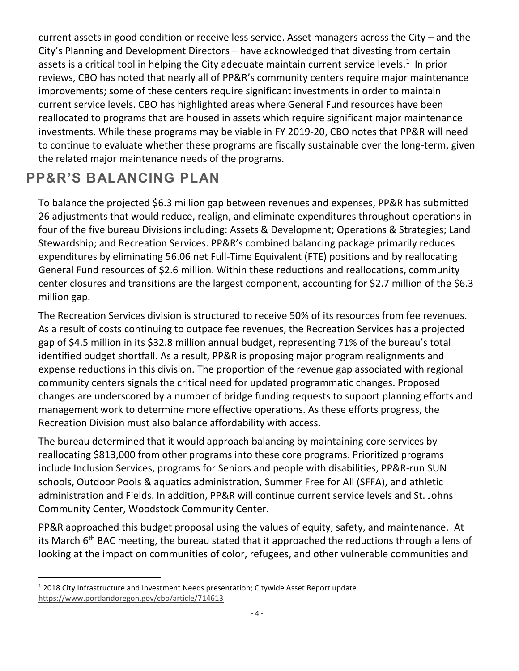current assets in good condition or receive less service. Asset managers across the City – and the City's Planning and Development Directors – have acknowledged that divesting from certain assets is a critical tool in helping the City adequate maintain current service levels.<sup>1</sup> In prior reviews, CBO has noted that nearly all of PP&R's community centers require major maintenance improvements; some of these centers require significant investments in order to maintain current service levels. CBO has highlighted areas where General Fund resources have been reallocated to programs that are housed in assets which require significant major maintenance investments. While these programs may be viable in FY 2019-20, CBO notes that PP&R will need to continue to evaluate whether these programs are fiscally sustainable over the long-term, given the related major maintenance needs of the programs.

# **PP&R'S BALANCING PLAN**

To balance the projected \$6.3 million gap between revenues and expenses, PP&R has submitted 26 adjustments that would reduce, realign, and eliminate expenditures throughout operations in four of the five bureau Divisions including: Assets & Development; Operations & Strategies; Land Stewardship; and Recreation Services. PP&R's combined balancing package primarily reduces expenditures by eliminating 56.06 net Full-Time Equivalent (FTE) positions and by reallocating General Fund resources of \$2.6 million. Within these reductions and reallocations, community center closures and transitions are the largest component, accounting for \$2.7 million of the \$6.3 million gap.

The Recreation Services division is structured to receive 50% of its resources from fee revenues. As a result of costs continuing to outpace fee revenues, the Recreation Services has a projected gap of \$4.5 million in its \$32.8 million annual budget, representing 71% of the bureau's total identified budget shortfall. As a result, PP&R is proposing major program realignments and expense reductions in this division. The proportion of the revenue gap associated with regional community centers signals the critical need for updated programmatic changes. Proposed changes are underscored by a number of bridge funding requests to support planning efforts and management work to determine more effective operations. As these efforts progress, the Recreation Division must also balance affordability with access.

The bureau determined that it would approach balancing by maintaining core services by reallocating \$813,000 from other programs into these core programs. Prioritized programs include Inclusion Services, programs for Seniors and people with disabilities, PP&R-run SUN schools, Outdoor Pools & aquatics administration, Summer Free for All (SFFA), and athletic administration and Fields. In addition, PP&R will continue current service levels and St. Johns Community Center, Woodstock Community Center.

PP&R approached this budget proposal using the values of equity, safety, and maintenance. At its March  $6<sup>th</sup>$  BAC meeting, the bureau stated that it approached the reductions through a lens of looking at the impact on communities of color, refugees, and other vulnerable communities and

 $\overline{a}$ <sup>1</sup> 2018 City Infrastructure and Investment Needs presentation; Citywide Asset Report update. <https://www.portlandoregon.gov/cbo/article/714613>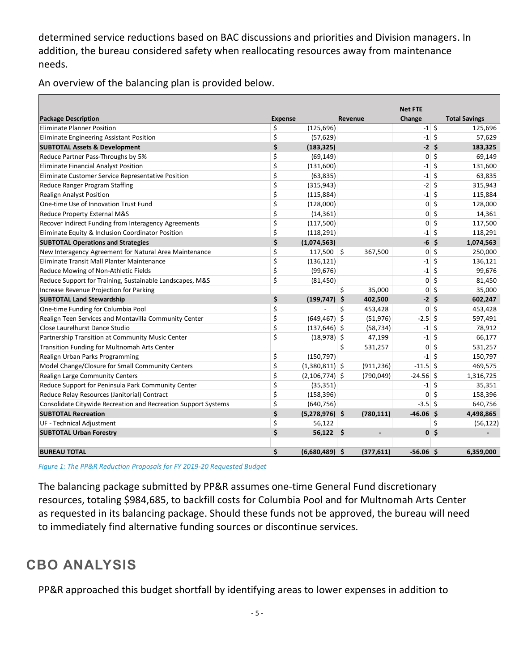determined service reductions based on BAC discussions and priorities and Division managers. In addition, the bureau considered safety when reallocating resources away from maintenance needs.

An overview of the balancing plan is provided below.

|                                                                |                |                  |                  | <b>Net FTE</b> |                |                      |
|----------------------------------------------------------------|----------------|------------------|------------------|----------------|----------------|----------------------|
| <b>Package Description</b>                                     | <b>Expense</b> |                  | <b>Revenue</b>   | Change         |                | <b>Total Savings</b> |
| <b>Eliminate Planner Position</b>                              | \$             | (125, 696)       |                  | $-1$ \$        |                | 125,696              |
| Eliminate Engineering Assistant Position                       | \$             | (57, 629)        |                  | $-1$ \$        |                | 57,629               |
| <b>SUBTOTAL Assets &amp; Development</b>                       | \$             | (183, 325)       |                  | $-2$ \$        |                | 183,325              |
| Reduce Partner Pass-Throughs by 5%                             | \$             | (69, 149)        |                  |                | $0\vert\;$ \$  | 69,149               |
| Eliminate Financial Analyst Position                           | \$             | (131,600)        |                  | $-1$           | \$             | 131,600              |
| Eliminate Customer Service Representative Position             | \$             | (63, 835)        |                  | $-1$           | \$             | 63,835               |
| Reduce Ranger Program Staffing                                 | \$             | (315, 943)       |                  | $-2$           | $\zeta$        | 315,943              |
| <b>Realign Analyst Position</b>                                | \$             | (115, 884)       |                  | $-1$           | \$             | 115,884              |
| One-time Use of Innovation Trust Fund                          | \$             | (128,000)        |                  | $\mathbf{0}$   | $\zeta$        | 128,000              |
| Reduce Property External M&S                                   | \$             | (14, 361)        |                  | $\mathbf{0}$   | $\zeta$        | 14,361               |
| Recover Indirect Funding from Interagency Agreements           | \$             | (117,500)        |                  | $\mathbf{0}$   | \$             | 117,500              |
| Eliminate Equity & Inclusion Coordinator Position              | \$             | (118, 291)       |                  | $-1$           | \$             | 118,291              |
| <b>SUBTOTAL Operations and Strategies</b>                      | \$             | (1,074,563)      |                  | $-6$ \$        |                | 1,074,563            |
| New Interagency Agreement for Natural Area Maintenance         | \$             | $117,500$ \$     | 367,500          | $\overline{0}$ | Ŝ.             | 250,000              |
| Eliminate Transit Mall Planter Maintenance                     | \$             | (136, 121)       |                  | $-1$           | Ŝ.             | 136,121              |
| Reduce Mowing of Non-Athletic Fields                           | \$             | (99, 676)        |                  | $-1$ \$        |                | 99,676               |
| Reduce Support for Training, Sustainable Landscapes, M&S       | \$             | (81, 450)        |                  | $\overline{0}$ | -\$            | 81,450               |
| Increase Revenue Projection for Parking                        |                |                  | \$<br>35,000     | $\overline{0}$ | \$             | 35,000               |
| <b>SUBTOTAL Land Stewardship</b>                               | \$             | $(199, 747)$ \$  | 402,500          | $-25$          |                | 602,247              |
| One-time Funding for Columbia Pool                             | \$             |                  | \$<br>453,428    | $\overline{0}$ | Ś.             | 453,428              |
| Realign Teen Services and Montavilla Community Center          | \$             | $(649, 467)$ \$  | (51, 976)        | $-2.5$ \$      |                | 597,491              |
| Close Laurelhurst Dance Studio                                 | \$             | $(137, 646)$ \$  | (58, 734)        | $-1$           | S.             | 78,912               |
| Partnership Transition at Community Music Center               | \$             | $(18,978)$ \$    | 47,199           | $-1$           | Ŝ.             | 66,177               |
| Transition Funding for Multnomah Arts Center                   |                |                  | \$<br>531,257    | $\overline{0}$ | \$             | 531,257              |
| Realign Urban Parks Programming                                | \$             | (150, 797)       |                  | $-1$           | \$             | 150,797              |
| Model Change/Closure for Small Community Centers               | \$             | $(1,380,811)$ \$ | (911, 236)       | $-11.5$ \$     |                | 469,575              |
| Realign Large Community Centers                                | \$             | $(2,106,774)$ \$ | (790, 049)       | $-24.56$ \$    |                | 1,316,725            |
| Reduce Support for Peninsula Park Community Center             | \$             | (35, 351)        |                  | $-1$ \$        |                | 35,351               |
| Reduce Relay Resources (Janitorial) Contract                   | \$             | (158, 396)       |                  | $0\vert$ \$    |                | 158,396              |
| Consolidate Citywide Recreation and Recreation Support Systems | \$             | (640, 756)       |                  | $-3.5$ \$      |                | 640,756              |
| <b>SUBTOTAL Recreation</b>                                     | \$             | $(5,278,976)$ \$ | (780, 111)       | $-46.06$ \$    |                | 4,498,865            |
| UF - Technical Adjustment                                      | \$             | 56,122           |                  |                | \$             | (56, 122)            |
| <b>SUBTOTAL Urban Forestry</b>                                 | \$             | $56,122$ \$      |                  |                | 0 <sup>5</sup> |                      |
| <b>BUREAU TOTAL</b>                                            | Ś              | (6,680,489)      | -Ś<br>(377, 611) | $-56.06$ \$    |                | 6,359,000            |

*Figure 1: The PP&R Reduction Proposals for FY 2019-20 Requested Budget*

The balancing package submitted by PP&R assumes one-time General Fund discretionary resources, totaling \$984,685, to backfill costs for Columbia Pool and for Multnomah Arts Center as requested in its balancing package. Should these funds not be approved, the bureau will need to immediately find alternative funding sources or discontinue services.

# **CBO ANALYSIS**

PP&R approached this budget shortfall by identifying areas to lower expenses in addition to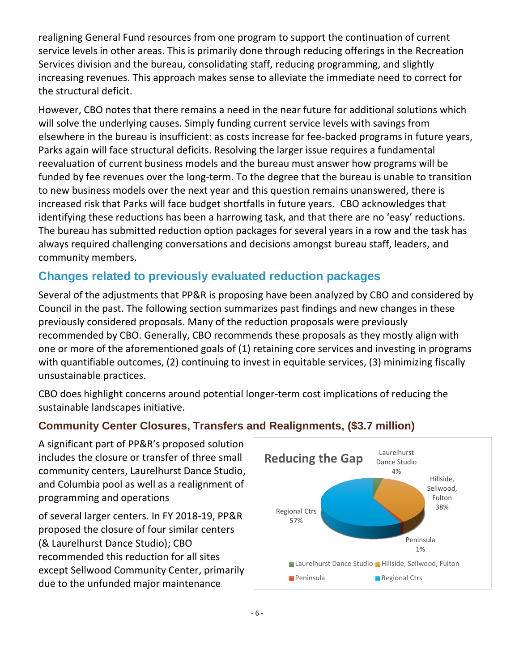realigning General Fund resources from one program to support the continuation of current service levels in other areas. This is primarily done through reducing offerings in the Recreation Services division and the bureau, consolidating staff, reducing programming, and slightly increasing revenues. This approach makes sense to alleviate the immediate need to correct for the structural deficit.

However, CBO notes that there remains a need in the near future for additional solutions which will solve the underlying causes. Simply funding current service levels with savings from elsewhere in the bureau is insufficient: as costs increase for fee-backed programs in future years, Parks again will face structural deficits. Resolving the larger issue requires a fundamental reevaluation of current business models and the bureau must answer how programs will be funded by fee revenues over the long-term. To the degree that the bureau is unable to transition to new business models over the next year and this question remains unanswered, there is increased risk that Parks will face budget shortfalls in future years. CBO acknowledges that identifying these reductions has been a harrowing task, and that there are no 'easy' reductions. The bureau has submitted reduction option packages for several years in a row and the task has always required challenging conversations and decisions amongst bureau staff, leaders, and community members.

# **Changes related to previously evaluated reduction packages**

Several of the adjustments that PP&R is proposing have been analyzed by CBO and considered by Council in the past. The following section summarizes past findings and new changes in these previously considered proposals. Many of the reduction proposals were previously recommended by CBO. Generally, CBO recommends these proposals as they mostly align with one or more of the aforementioned goals of (1) retaining core services and investing in programs with quantifiable outcomes, (2) continuing to invest in equitable services, (3) minimizing fiscally unsustainable practices.

CBO does highlight concerns around potential longer-term cost implications of reducing the sustainable landscapes initiative.

## **Community Center Closures, Transfers and Realignments, (\$3.7 million)**

A significant part of PP&R's proposed solution includes the closure or transfer of three small community centers, Laurelhurst Dance Studio, and Columbia pool as well as a realignment of programming and operations

of several larger centers. In FY 2018-19, PP&R proposed the closure of four similar centers (& Laurelhurst Dance Studio); CBO recommended this reduction for all sites except Sellwood Community Center, primarily due to the unfunded major maintenance

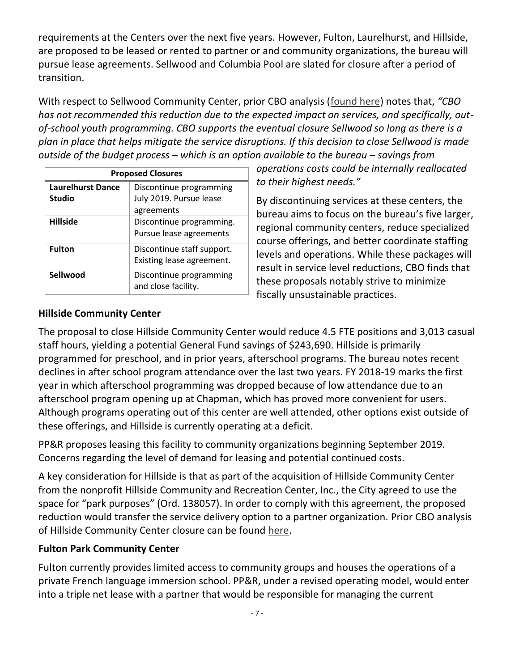requirements at the Centers over the next five years. However, Fulton, Laurelhurst, and Hillside, are proposed to be leased or rented to partner or and community organizations, the bureau will pursue lease agreements. Sellwood and Columbia Pool are slated for closure after a period of transition.

With respect to Sellwood Community Center, prior CBO analysis [\(found here\)](https://www.portlandoregon.gov/cbo/article/675827) notes that, *"CBO has not recommended this reduction due to the expected impact on services, and specifically, outof-school youth programming. CBO supports the eventual closure Sellwood so long as there is a plan in place that helps mitigate the service disruptions. If this decision to close Sellwood is made outside of the budget process – which is an option available to the bureau – savings from* 

| <b>Proposed Closures</b> |                                                |  |
|--------------------------|------------------------------------------------|--|
| <b>Laurelhurst Dance</b> | Discontinue programming                        |  |
| <b>Studio</b>            | July 2019. Pursue lease                        |  |
|                          | agreements                                     |  |
| <b>Hillside</b>          | Discontinue programming.                       |  |
|                          | Pursue lease agreements                        |  |
| <b>Fulton</b>            | Discontinue staff support.                     |  |
|                          | Existing lease agreement.                      |  |
| Sellwood                 | Discontinue programming<br>and close facility. |  |

*operations costs could be internally reallocated to their highest needs."* 

By discontinuing services at these centers, the bureau aims to focus on the bureau's five larger, regional community centers, reduce specialized course offerings, and better coordinate staffing levels and operations. While these packages will result in service level reductions, CBO finds that these proposals notably strive to minimize fiscally unsustainable practices.

#### **Hillside Community Center**

The proposal to close Hillside Community Center would reduce 4.5 FTE positions and 3,013 casual staff hours, yielding a potential General Fund savings of \$243,690. Hillside is primarily programmed for preschool, and in prior years, afterschool programs. The bureau notes recent declines in after school program attendance over the last two years. FY 2018-19 marks the first year in which afterschool programming was dropped because of low attendance due to an afterschool program opening up at Chapman, which has proved more convenient for users. Although programs operating out of this center are well attended, other options exist outside of these offerings, and Hillside is currently operating at a deficit.

PP&R proposes leasing this facility to community organizations beginning September 2019. Concerns regarding the level of demand for leasing and potential continued costs.

A key consideration for Hillside is that as part of the acquisition of Hillside Community Center from the nonprofit Hillside Community and Recreation Center, Inc., the City agreed to use the space for "park purposes" (Ord. 138057). In order to comply with this agreement, the proposed reduction would transfer the service delivery option to a partner organization. Prior CBO analysis of Hillside Community Center closure can be found [here.](https://www.portlandoregon.gov/cbo/article/675827)

#### **Fulton Park Community Center**

Fulton currently provides limited access to community groups and houses the operations of a private French language immersion school. PP&R, under a revised operating model, would enter into a triple net lease with a partner that would be responsible for managing the current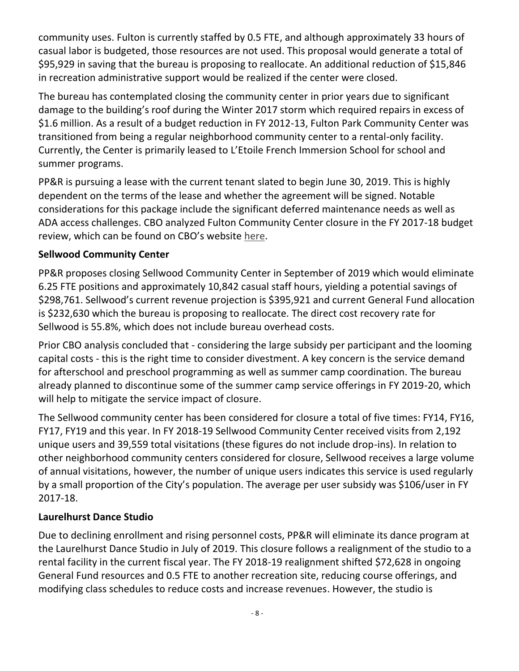community uses. Fulton is currently staffed by 0.5 FTE, and although approximately 33 hours of casual labor is budgeted, those resources are not used. This proposal would generate a total of \$95,929 in saving that the bureau is proposing to reallocate. An additional reduction of \$15,846 in recreation administrative support would be realized if the center were closed.

The bureau has contemplated closing the community center in prior years due to significant damage to the building's roof during the Winter 2017 storm which required repairs in excess of \$1.6 million. As a result of a budget reduction in FY 2012-13, Fulton Park Community Center was transitioned from being a regular neighborhood community center to a rental-only facility. Currently, the Center is primarily leased to L'Etoile French Immersion School for school and summer programs.

PP&R is pursuing a lease with the current tenant slated to begin June 30, 2019. This is highly dependent on the terms of the lease and whether the agreement will be signed. Notable considerations for this package include the significant deferred maintenance needs as well as ADA access challenges. CBO analyzed Fulton Community Center closure in the FY 2017-18 budget review, which can be found on CBO's website [here.](https://www.portlandoregon.gov/cbo/article/631374)

#### **Sellwood Community Center**

PP&R proposes closing Sellwood Community Center in September of 2019 which would eliminate 6.25 FTE positions and approximately 10,842 casual staff hours, yielding a potential savings of \$298,761. Sellwood's current revenue projection is \$395,921 and current General Fund allocation is \$232,630 which the bureau is proposing to reallocate. The direct cost recovery rate for Sellwood is 55.8%, which does not include bureau overhead costs.

Prior CBO analysis concluded that - considering the large subsidy per participant and the looming capital costs - this is the right time to consider divestment. A key concern is the service demand for afterschool and preschool programming as well as summer camp coordination. The bureau already planned to discontinue some of the summer camp service offerings in FY 2019-20, which will help to mitigate the service impact of closure.

The Sellwood community center has been considered for closure a total of five times: FY14, FY16, FY17, FY19 and this year. In FY 2018-19 Sellwood Community Center received visits from 2,192 unique users and 39,559 total visitations (these figures do not include drop-ins). In relation to other neighborhood community centers considered for closure, Sellwood receives a large volume of annual visitations, however, the number of unique users indicates this service is used regularly by a small proportion of the City's population. The average per user subsidy was \$106/user in FY 2017-18.

#### **Laurelhurst Dance Studio**

Due to declining enrollment and rising personnel costs, PP&R will eliminate its dance program at the Laurelhurst Dance Studio in July of 2019. This closure follows a realignment of the studio to a rental facility in the current fiscal year. The FY 2018-19 realignment shifted \$72,628 in ongoing General Fund resources and 0.5 FTE to another recreation site, reducing course offerings, and modifying class schedules to reduce costs and increase revenues. However, the studio is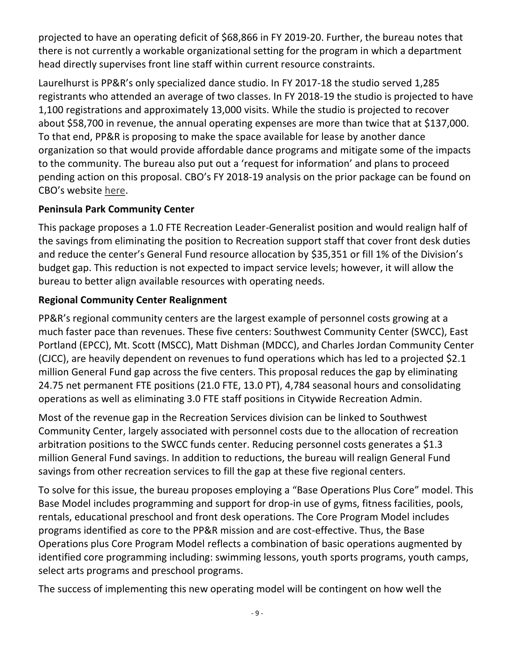projected to have an operating deficit of \$68,866 in FY 2019-20. Further, the bureau notes that there is not currently a workable organizational setting for the program in which a department head directly supervises front line staff within current resource constraints.

Laurelhurst is PP&R's only specialized dance studio. In FY 2017-18 the studio served 1,285 registrants who attended an average of two classes. In FY 2018-19 the studio is projected to have 1,100 registrations and approximately 13,000 visits. While the studio is projected to recover about \$58,700 in revenue, the annual operating expenses are more than twice that at \$137,000. To that end, PP&R is proposing to make the space available for lease by another dance organization so that would provide affordable dance programs and mitigate some of the impacts to the community. The bureau also put out a 'request for information' and plans to proceed pending action on this proposal. CBO's FY 2018-19 analysis on the prior package can be found on CBO's website [here.](https://www.portlandoregon.gov/cbo/article/675827)

#### **Peninsula Park Community Center**

This package proposes a 1.0 FTE Recreation Leader-Generalist position and would realign half of the savings from eliminating the position to Recreation support staff that cover front desk duties and reduce the center's General Fund resource allocation by \$35,351 or fill 1% of the Division's budget gap. This reduction is not expected to impact service levels; however, it will allow the bureau to better align available resources with operating needs.

#### **Regional Community Center Realignment**

PP&R's regional community centers are the largest example of personnel costs growing at a much faster pace than revenues. These five centers: Southwest Community Center (SWCC), East Portland (EPCC), Mt. Scott (MSCC), Matt Dishman (MDCC), and Charles Jordan Community Center (CJCC), are heavily dependent on revenues to fund operations which has led to a projected \$2.1 million General Fund gap across the five centers. This proposal reduces the gap by eliminating 24.75 net permanent FTE positions (21.0 FTE, 13.0 PT), 4,784 seasonal hours and consolidating operations as well as eliminating 3.0 FTE staff positions in Citywide Recreation Admin.

Most of the revenue gap in the Recreation Services division can be linked to Southwest Community Center, largely associated with personnel costs due to the allocation of recreation arbitration positions to the SWCC funds center. Reducing personnel costs generates a \$1.3 million General Fund savings. In addition to reductions, the bureau will realign General Fund savings from other recreation services to fill the gap at these five regional centers.

To solve for this issue, the bureau proposes employing a "Base Operations Plus Core" model. This Base Model includes programming and support for drop-in use of gyms, fitness facilities, pools, rentals, educational preschool and front desk operations. The Core Program Model includes programs identified as core to the PP&R mission and are cost-effective. Thus, the Base Operations plus Core Program Model reflects a combination of basic operations augmented by identified core programming including: swimming lessons, youth sports programs, youth camps, select arts programs and preschool programs.

The success of implementing this new operating model will be contingent on how well the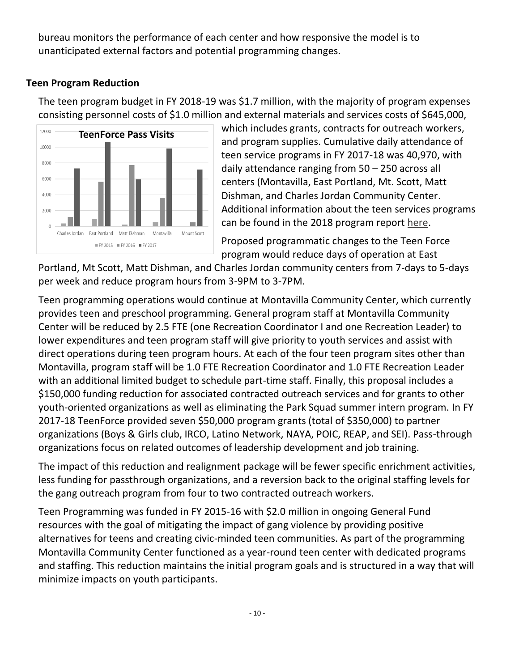bureau monitors the performance of each center and how responsive the model is to unanticipated external factors and potential programming changes.

#### **Teen Program Reduction**

The teen program budget in FY 2018-19 was \$1.7 million, with the majority of program expenses consisting personnel costs of \$1.0 million and external materials and services costs of \$645,000,



which includes grants, contracts for outreach workers, and program supplies. Cumulative daily attendance of teen service programs in FY 2017-18 was 40,970, with daily attendance ranging from 50 – 250 across all centers (Montavilla, East Portland, Mt. Scott, Matt Dishman, and Charles Jordan Community Center. Additional information about the teen services programs can be found in the 2018 program report [here.](https://issuu.com/portlandparks/docs/teen_services_report_brochure_digit?e=3709716/59980661)

Proposed programmatic changes to the Teen Force program would reduce days of operation at East

Portland, Mt Scott, Matt Dishman, and Charles Jordan community centers from 7-days to 5-days per week and reduce program hours from 3-9PM to 3-7PM.

Teen programming operations would continue at Montavilla Community Center, which currently provides teen and preschool programming. General program staff at Montavilla Community Center will be reduced by 2.5 FTE (one Recreation Coordinator I and one Recreation Leader) to lower expenditures and teen program staff will give priority to youth services and assist with direct operations during teen program hours. At each of the four teen program sites other than Montavilla, program staff will be 1.0 FTE Recreation Coordinator and 1.0 FTE Recreation Leader with an additional limited budget to schedule part-time staff. Finally, this proposal includes a \$150,000 funding reduction for associated contracted outreach services and for grants to other youth-oriented organizations as well as eliminating the Park Squad summer intern program. In FY 2017-18 TeenForce provided seven \$50,000 program grants (total of \$350,000) to partner organizations (Boys & Girls club, IRCO, Latino Network, NAYA, POIC, REAP, and SEI). Pass-through organizations focus on related outcomes of leadership development and job training.

The impact of this reduction and realignment package will be fewer specific enrichment activities, less funding for passthrough organizations, and a reversion back to the original staffing levels for the gang outreach program from four to two contracted outreach workers.

Teen Programming was funded in FY 2015-16 with \$2.0 million in ongoing General Fund resources with the goal of mitigating the impact of gang violence by providing positive alternatives for teens and creating civic-minded teen communities. As part of the programming Montavilla Community Center functioned as a year-round teen center with dedicated programs and staffing. This reduction maintains the initial program goals and is structured in a way that will minimize impacts on youth participants.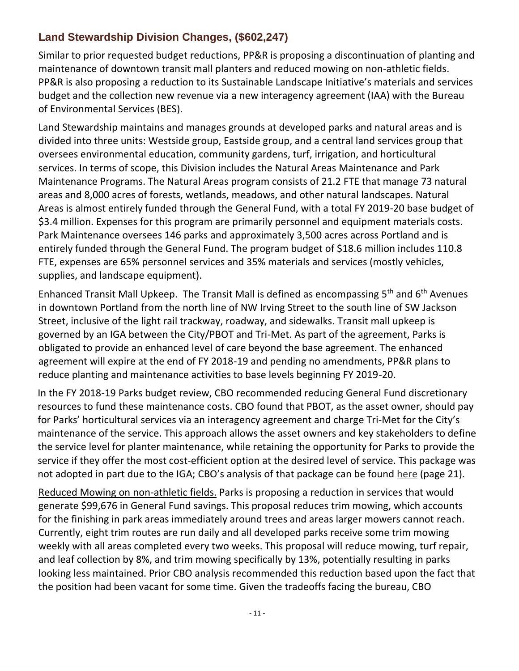## **Land Stewardship Division Changes, (\$602,247)**

Similar to prior requested budget reductions, PP&R is proposing a discontinuation of planting and maintenance of downtown transit mall planters and reduced mowing on non-athletic fields. PP&R is also proposing a reduction to its Sustainable Landscape Initiative's materials and services budget and the collection new revenue via a new interagency agreement (IAA) with the Bureau of Environmental Services (BES).

Land Stewardship maintains and manages grounds at developed parks and natural areas and is divided into three units: Westside group, Eastside group, and a central land services group that oversees environmental education, community gardens, turf, irrigation, and horticultural services. In terms of scope, this Division includes the Natural Areas Maintenance and Park Maintenance Programs. The Natural Areas program consists of 21.2 FTE that manage 73 natural areas and 8,000 acres of forests, wetlands, meadows, and other natural landscapes. Natural Areas is almost entirely funded through the General Fund, with a total FY 2019-20 base budget of \$3.4 million. Expenses for this program are primarily personnel and equipment materials costs. Park Maintenance oversees 146 parks and approximately 3,500 acres across Portland and is entirely funded through the General Fund. The program budget of \$18.6 million includes 110.8 FTE, expenses are 65% personnel services and 35% materials and services (mostly vehicles, supplies, and landscape equipment).

Enhanced Transit Mall Upkeep. The Transit Mall is defined as encompassing  $5<sup>th</sup>$  and  $6<sup>th</sup>$  Avenues in downtown Portland from the north line of NW Irving Street to the south line of SW Jackson Street, inclusive of the light rail trackway, roadway, and sidewalks. Transit mall upkeep is governed by an IGA between the City/PBOT and Tri-Met. As part of the agreement, Parks is obligated to provide an enhanced level of care beyond the base agreement. The enhanced agreement will expire at the end of FY 2018-19 and pending no amendments, PP&R plans to reduce planting and maintenance activities to base levels beginning FY 2019-20.

In the FY 2018-19 Parks budget review, CBO recommended reducing General Fund discretionary resources to fund these maintenance costs. CBO found that PBOT, as the asset owner, should pay for Parks' horticultural services via an interagency agreement and charge Tri-Met for the City's maintenance of the service. This approach allows the asset owners and key stakeholders to define the service level for planter maintenance, while retaining the opportunity for Parks to provide the service if they offer the most cost-efficient option at the desired level of service. This package was not adopted in part due to the IGA; CBO's analysis of that package can be found [here](https://www.portlandoregon.gov/cbo/article/675827) (page 21).

Reduced Mowing on non-athletic fields. Parks is proposing a reduction in services that would generate \$99,676 in General Fund savings. This proposal reduces trim mowing, which accounts for the finishing in park areas immediately around trees and areas larger mowers cannot reach. Currently, eight trim routes are run daily and all developed parks receive some trim mowing weekly with all areas completed every two weeks. This proposal will reduce mowing, turf repair, and leaf collection by 8%, and trim mowing specifically by 13%, potentially resulting in parks looking less maintained. Prior CBO analysis recommended this reduction based upon the fact that the position had been vacant for some time. Given the tradeoffs facing the bureau, CBO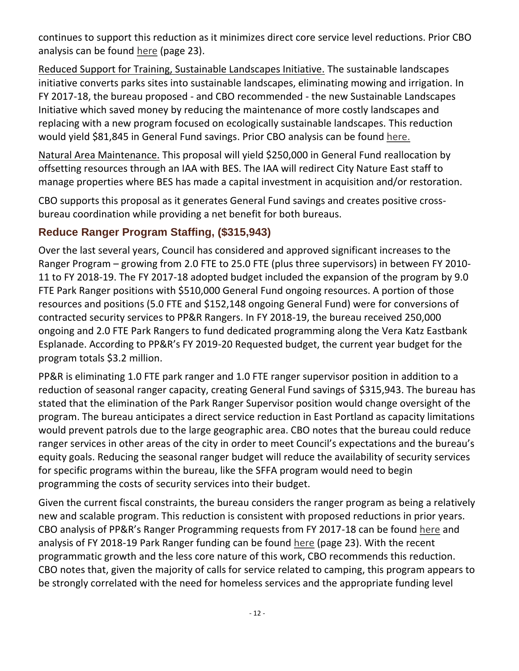continues to support this reduction as it minimizes direct core service level reductions. Prior CBO analysis can be found [here](https://www.portlandoregon.gov/cbo/article/675827) (page 23).

Reduced Support for Training, Sustainable Landscapes Initiative. The sustainable landscapes initiative converts parks sites into sustainable landscapes, eliminating mowing and irrigation. In FY 2017-18, the bureau proposed - and CBO recommended - the new Sustainable Landscapes Initiative which saved money by reducing the maintenance of more costly landscapes and replacing with a new program focused on ecologically sustainable landscapes. This reduction would yield \$81,845 in General Fund savings. Prior CBO analysis can be found [here.](https://www.portlandoregon.gov/cbo/article/631374)

Natural Area Maintenance. This proposal will yield \$250,000 in General Fund reallocation by offsetting resources through an IAA with BES. The IAA will redirect City Nature East staff to manage properties where BES has made a capital investment in acquisition and/or restoration.

CBO supports this proposal as it generates General Fund savings and creates positive crossbureau coordination while providing a net benefit for both bureaus.

#### **Reduce Ranger Program Staffing, (\$315,943)**

Over the last several years, Council has considered and approved significant increases to the Ranger Program – growing from 2.0 FTE to 25.0 FTE (plus three supervisors) in between FY 2010- 11 to FY 2018-19. The FY 2017-18 adopted budget included the expansion of the program by 9.0 FTE Park Ranger positions with \$510,000 General Fund ongoing resources. A portion of those resources and positions (5.0 FTE and \$152,148 ongoing General Fund) were for conversions of contracted security services to PP&R Rangers. In FY 2018-19, the bureau received 250,000 ongoing and 2.0 FTE Park Rangers to fund dedicated programming along the Vera Katz Eastbank Esplanade. According to PP&R's FY 2019-20 Requested budget, the current year budget for the program totals \$3.2 million.

PP&R is eliminating 1.0 FTE park ranger and 1.0 FTE ranger supervisor position in addition to a reduction of seasonal ranger capacity, creating General Fund savings of \$315,943. The bureau has stated that the elimination of the Park Ranger Supervisor position would change oversight of the program. The bureau anticipates a direct service reduction in East Portland as capacity limitations would prevent patrols due to the large geographic area. CBO notes that the bureau could reduce ranger services in other areas of the city in order to meet Council's expectations and the bureau's equity goals. Reducing the seasonal ranger budget will reduce the availability of security services for specific programs within the bureau, like the SFFA program would need to begin programming the costs of security services into their budget.

Given the current fiscal constraints, the bureau considers the ranger program as being a relatively new and scalable program. This reduction is consistent with proposed reductions in prior years. CBO analysis of PP&R's Ranger Programming requests from FY 2017-18 can be found [here](https://www.portlandoregon.gov/cbo/article/631374) and analysis of FY 2018-19 Park Ranger funding can be found [here](https://www.portlandoregon.gov/cbo/article/675827) (page 23). With the recent programmatic growth and the less core nature of this work, CBO recommends this reduction. CBO notes that, given the majority of calls for service related to camping, this program appears to be strongly correlated with the need for homeless services and the appropriate funding level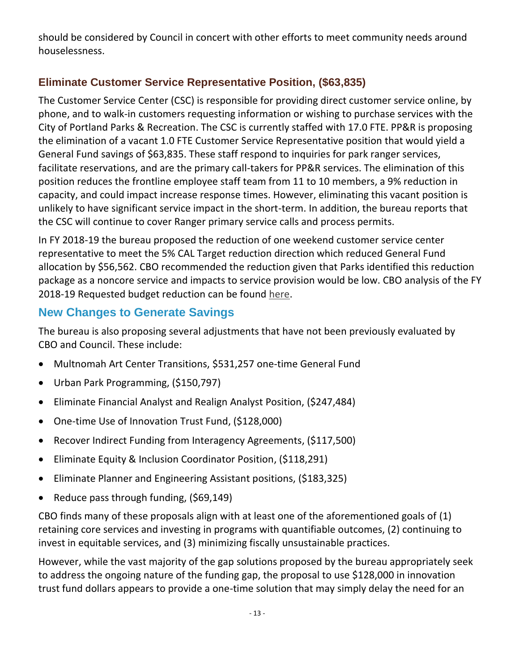should be considered by Council in concert with other efforts to meet community needs around houselessness.

# **Eliminate Customer Service Representative Position, (\$63,835)**

The Customer Service Center (CSC) is responsible for providing direct customer service online, by phone, and to walk-in customers requesting information or wishing to purchase services with the City of Portland Parks & Recreation. The CSC is currently staffed with 17.0 FTE. PP&R is proposing the elimination of a vacant 1.0 FTE Customer Service Representative position that would yield a General Fund savings of \$63,835. These staff respond to inquiries for park ranger services, facilitate reservations, and are the primary call-takers for PP&R services. The elimination of this position reduces the frontline employee staff team from 11 to 10 members, a 9% reduction in capacity, and could impact increase response times. However, eliminating this vacant position is unlikely to have significant service impact in the short-term. In addition, the bureau reports that the CSC will continue to cover Ranger primary service calls and process permits.

In FY 2018-19 the bureau proposed the reduction of one weekend customer service center representative to meet the 5% CAL Target reduction direction which reduced General Fund allocation by \$56,562. CBO recommended the reduction given that Parks identified this reduction package as a noncore service and impacts to service provision would be low. CBO analysis of the FY 2018-19 Requested budget reduction can be found [here.](https://www.portlandoregon.gov/cbo/article/675827)

# **New Changes to Generate Savings**

The bureau is also proposing several adjustments that have not been previously evaluated by CBO and Council. These include:

- Multnomah Art Center Transitions, \$531,257 one-time General Fund
- Urban Park Programming, (\$150,797)
- Eliminate Financial Analyst and Realign Analyst Position, (\$247,484)
- One-time Use of Innovation Trust Fund, (\$128,000)
- Recover Indirect Funding from Interagency Agreements, (\$117,500)
- Eliminate Equity & Inclusion Coordinator Position, (\$118,291)
- Eliminate Planner and Engineering Assistant positions, (\$183,325)
- Reduce pass through funding, (\$69,149)

CBO finds many of these proposals align with at least one of the aforementioned goals of (1) retaining core services and investing in programs with quantifiable outcomes, (2) continuing to invest in equitable services, and (3) minimizing fiscally unsustainable practices.

However, while the vast majority of the gap solutions proposed by the bureau appropriately seek to address the ongoing nature of the funding gap, the proposal to use \$128,000 in innovation trust fund dollars appears to provide a one-time solution that may simply delay the need for an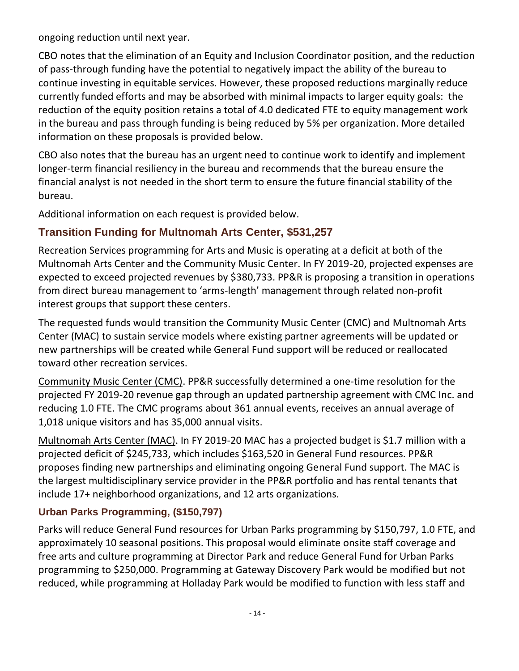ongoing reduction until next year.

CBO notes that the elimination of an Equity and Inclusion Coordinator position, and the reduction of pass-through funding have the potential to negatively impact the ability of the bureau to continue investing in equitable services. However, these proposed reductions marginally reduce currently funded efforts and may be absorbed with minimal impacts to larger equity goals: the reduction of the equity position retains a total of 4.0 dedicated FTE to equity management work in the bureau and pass through funding is being reduced by 5% per organization. More detailed information on these proposals is provided below.

CBO also notes that the bureau has an urgent need to continue work to identify and implement longer-term financial resiliency in the bureau and recommends that the bureau ensure the financial analyst is not needed in the short term to ensure the future financial stability of the bureau.

Additional information on each request is provided below.

# **Transition Funding for Multnomah Arts Center, \$531,257**

Recreation Services programming for Arts and Music is operating at a deficit at both of the Multnomah Arts Center and the Community Music Center. In FY 2019-20, projected expenses are expected to exceed projected revenues by \$380,733. PP&R is proposing a transition in operations from direct bureau management to 'arms-length' management through related non-profit interest groups that support these centers.

The requested funds would transition the Community Music Center (CMC) and Multnomah Arts Center (MAC) to sustain service models where existing partner agreements will be updated or new partnerships will be created while General Fund support will be reduced or reallocated toward other recreation services.

Community Music Center (CMC). PP&R successfully determined a one-time resolution for the projected FY 2019-20 revenue gap through an updated partnership agreement with CMC Inc. and reducing 1.0 FTE. The CMC programs about 361 annual events, receives an annual average of 1,018 unique visitors and has 35,000 annual visits.

Multnomah Arts Center (MAC). In FY 2019-20 MAC has a projected budget is \$1.7 million with a projected deficit of \$245,733, which includes \$163,520 in General Fund resources. PP&R proposes finding new partnerships and eliminating ongoing General Fund support. The MAC is the largest multidisciplinary service provider in the PP&R portfolio and has rental tenants that include 17+ neighborhood organizations, and 12 arts organizations.

## **Urban Parks Programming, (\$150,797)**

Parks will reduce General Fund resources for Urban Parks programming by \$150,797, 1.0 FTE, and approximately 10 seasonal positions. This proposal would eliminate onsite staff coverage and free arts and culture programming at Director Park and reduce General Fund for Urban Parks programming to \$250,000. Programming at Gateway Discovery Park would be modified but not reduced, while programming at Holladay Park would be modified to function with less staff and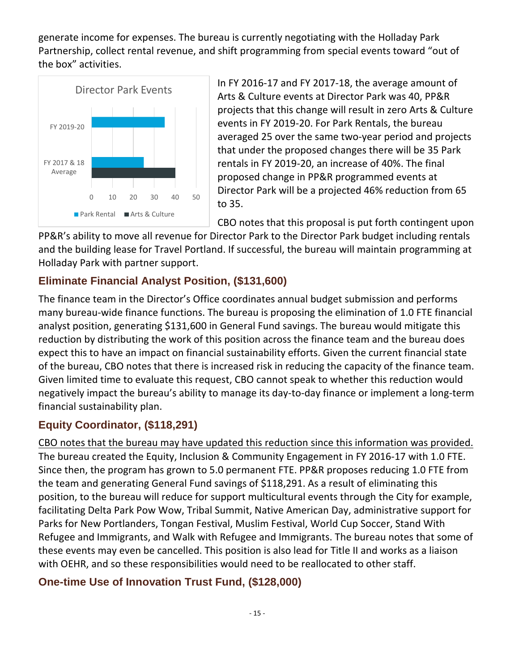generate income for expenses. The bureau is currently negotiating with the Holladay Park Partnership, collect rental revenue, and shift programming from special events toward "out of the box" activities.



In FY 2016-17 and FY 2017-18, the average amount of Arts & Culture events at Director Park was 40, PP&R projects that this change will result in zero Arts & Culture events in FY 2019-20. For Park Rentals, the bureau averaged 25 over the same two-year period and projects that under the proposed changes there will be 35 Park rentals in FY 2019-20, an increase of 40%. The final proposed change in PP&R programmed events at Director Park will be a projected 46% reduction from 65 to 35.

CBO notes that this proposal is put forth contingent upon

PP&R's ability to move all revenue for Director Park to the Director Park budget including rentals and the building lease for Travel Portland. If successful, the bureau will maintain programming at Holladay Park with partner support.

#### **Eliminate Financial Analyst Position, (\$131,600)**

The finance team in the Director's Office coordinates annual budget submission and performs many bureau-wide finance functions. The bureau is proposing the elimination of 1.0 FTE financial analyst position, generating \$131,600 in General Fund savings. The bureau would mitigate this reduction by distributing the work of this position across the finance team and the bureau does expect this to have an impact on financial sustainability efforts. Given the current financial state of the bureau, CBO notes that there is increased risk in reducing the capacity of the finance team. Given limited time to evaluate this request, CBO cannot speak to whether this reduction would negatively impact the bureau's ability to manage its day-to-day finance or implement a long-term financial sustainability plan.

## **Equity Coordinator, (\$118,291)**

CBO notes that the bureau may have updated this reduction since this information was provided. The bureau created the Equity, Inclusion & Community Engagement in FY 2016-17 with 1.0 FTE. Since then, the program has grown to 5.0 permanent FTE. PP&R proposes reducing 1.0 FTE from the team and generating General Fund savings of \$118,291. As a result of eliminating this position, to the bureau will reduce for support multicultural events through the City for example, facilitating Delta Park Pow Wow, Tribal Summit, Native American Day, administrative support for Parks for New Portlanders, Tongan Festival, Muslim Festival, World Cup Soccer, Stand With Refugee and Immigrants, and Walk with Refugee and Immigrants. The bureau notes that some of these events may even be cancelled. This position is also lead for Title II and works as a liaison with OEHR, and so these responsibilities would need to be reallocated to other staff.

## **One-time Use of Innovation Trust Fund, (\$128,000)**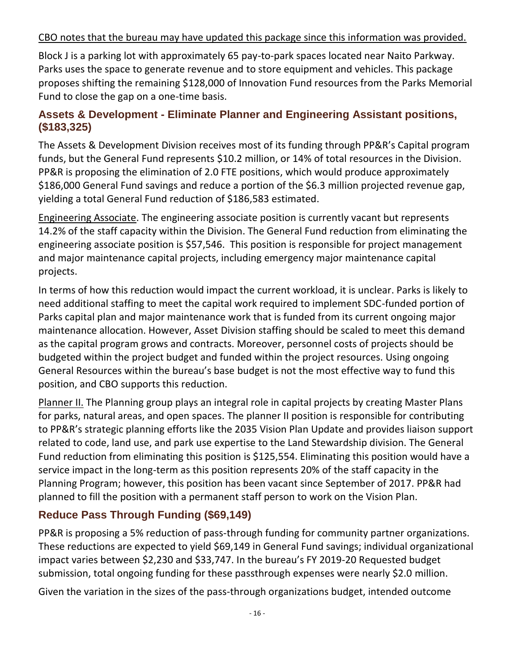#### CBO notes that the bureau may have updated this package since this information was provided.

Block J is a parking lot with approximately 65 pay-to-park spaces located near Naito Parkway. Parks uses the space to generate revenue and to store equipment and vehicles. This package proposes shifting the remaining \$128,000 of Innovation Fund resources from the Parks Memorial Fund to close the gap on a one-time basis.

#### **Assets & Development - Eliminate Planner and Engineering Assistant positions, (\$183,325)**

The Assets & Development Division receives most of its funding through PP&R's Capital program funds, but the General Fund represents \$10.2 million, or 14% of total resources in the Division. PP&R is proposing the elimination of 2.0 FTE positions, which would produce approximately \$186,000 General Fund savings and reduce a portion of the \$6.3 million projected revenue gap, yielding a total General Fund reduction of \$186,583 estimated.

Engineering Associate. The engineering associate position is currently vacant but represents 14.2% of the staff capacity within the Division. The General Fund reduction from eliminating the engineering associate position is \$57,546. This position is responsible for project management and major maintenance capital projects, including emergency major maintenance capital projects.

In terms of how this reduction would impact the current workload, it is unclear. Parks is likely to need additional staffing to meet the capital work required to implement SDC-funded portion of Parks capital plan and major maintenance work that is funded from its current ongoing major maintenance allocation. However, Asset Division staffing should be scaled to meet this demand as the capital program grows and contracts. Moreover, personnel costs of projects should be budgeted within the project budget and funded within the project resources. Using ongoing General Resources within the bureau's base budget is not the most effective way to fund this position, and CBO supports this reduction.

Planner II. The Planning group plays an integral role in capital projects by creating Master Plans for parks, natural areas, and open spaces. The planner II position is responsible for contributing to PP&R's strategic planning efforts like the 2035 Vision Plan Update and provides liaison support related to code, land use, and park use expertise to the Land Stewardship division. The General Fund reduction from eliminating this position is \$125,554. Eliminating this position would have a service impact in the long-term as this position represents 20% of the staff capacity in the Planning Program; however, this position has been vacant since September of 2017. PP&R had planned to fill the position with a permanent staff person to work on the Vision Plan.

#### **Reduce Pass Through Funding (\$69,149)**

PP&R is proposing a 5% reduction of pass-through funding for community partner organizations. These reductions are expected to yield \$69,149 in General Fund savings; individual organizational impact varies between \$2,230 and \$33,747. In the bureau's FY 2019-20 Requested budget submission, total ongoing funding for these passthrough expenses were nearly \$2.0 million.

Given the variation in the sizes of the pass-through organizations budget, intended outcome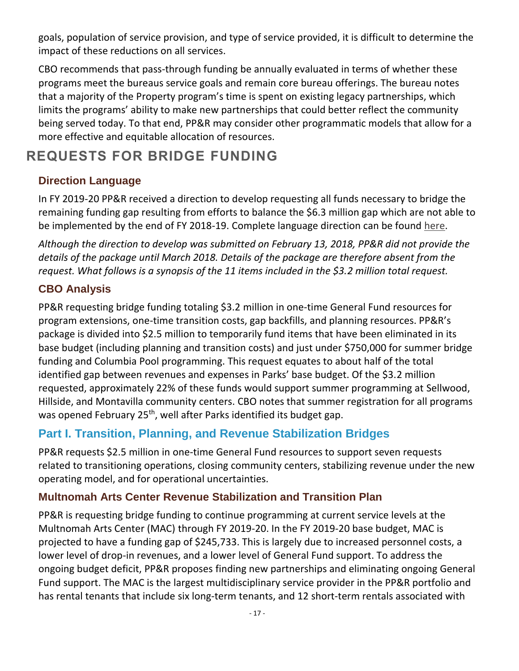goals, population of service provision, and type of service provided, it is difficult to determine the impact of these reductions on all services.

CBO recommends that pass-through funding be annually evaluated in terms of whether these programs meet the bureaus service goals and remain core bureau offerings. The bureau notes that a majority of the Property program's time is spent on existing legacy partnerships, which limits the programs' ability to make new partnerships that could better reflect the community being served today. To that end, PP&R may consider other programmatic models that allow for a more effective and equitable allocation of resources.

# **REQUESTS FOR BRIDGE FUNDING**

# **Direction Language**

In FY 2019-20 PP&R received a direction to develop requesting all funds necessary to bridge the remaining funding gap resulting from efforts to balance the \$6.3 million gap which are not able to be implemented by the end of FY 2018-19. Complete language direction can be found [here.](https://www.portlandoregon.gov/cbo/article/710171)

*Although the direction to develop was submitted on February 13, 2018, PP&R did not provide the details of the package until March 2018. Details of the package are therefore absent from the request. What follows is a synopsis of the 11 items included in the \$3.2 million total request.*

#### **CBO Analysis**

PP&R requesting bridge funding totaling \$3.2 million in one-time General Fund resources for program extensions, one-time transition costs, gap backfills, and planning resources. PP&R's package is divided into \$2.5 million to temporarily fund items that have been eliminated in its base budget (including planning and transition costs) and just under \$750,000 for summer bridge funding and Columbia Pool programming. This request equates to about half of the total identified gap between revenues and expenses in Parks' base budget. Of the \$3.2 million requested, approximately 22% of these funds would support summer programming at Sellwood, Hillside, and Montavilla community centers. CBO notes that summer registration for all programs was opened February 25<sup>th</sup>, well after Parks identified its budget gap.

# **Part I. Transition, Planning, and Revenue Stabilization Bridges**

PP&R requests \$2.5 million in one-time General Fund resources to support seven requests related to transitioning operations, closing community centers, stabilizing revenue under the new operating model, and for operational uncertainties.

## **Multnomah Arts Center Revenue Stabilization and Transition Plan**

PP&R is requesting bridge funding to continue programming at current service levels at the Multnomah Arts Center (MAC) through FY 2019-20. In the FY 2019-20 base budget, MAC is projected to have a funding gap of \$245,733. This is largely due to increased personnel costs, a lower level of drop-in revenues, and a lower level of General Fund support. To address the ongoing budget deficit, PP&R proposes finding new partnerships and eliminating ongoing General Fund support. The MAC is the largest multidisciplinary service provider in the PP&R portfolio and has rental tenants that include six long-term tenants, and 12 short-term rentals associated with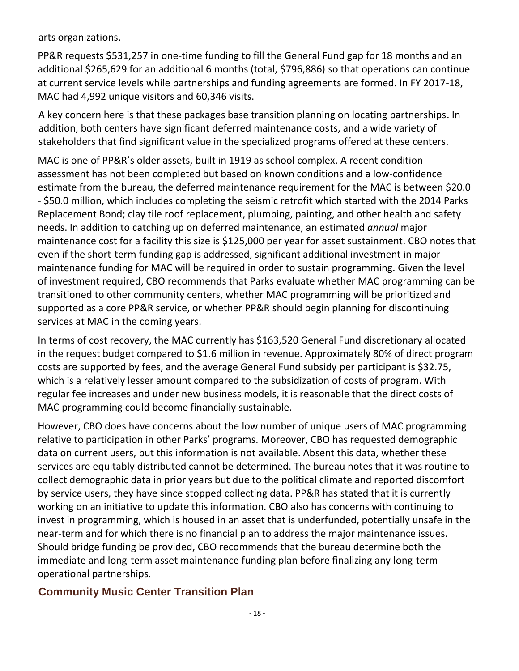arts organizations.

PP&R requests \$531,257 in one-time funding to fill the General Fund gap for 18 months and an additional \$265,629 for an additional 6 months (total, \$796,886) so that operations can continue at current service levels while partnerships and funding agreements are formed. In FY 2017-18, MAC had 4,992 unique visitors and 60,346 visits.

A key concern here is that these packages base transition planning on locating partnerships. In addition, both centers have significant deferred maintenance costs, and a wide variety of stakeholders that find significant value in the specialized programs offered at these centers.

MAC is one of PP&R's older assets, built in 1919 as school complex. A recent condition assessment has not been completed but based on known conditions and a low-confidence estimate from the bureau, the deferred maintenance requirement for the MAC is between \$20.0 - \$50.0 million, which includes completing the seismic retrofit which started with the 2014 Parks Replacement Bond; clay tile roof replacement, plumbing, painting, and other health and safety needs. In addition to catching up on deferred maintenance, an estimated *annual* major maintenance cost for a facility this size is \$125,000 per year for asset sustainment. CBO notes that even if the short-term funding gap is addressed, significant additional investment in major maintenance funding for MAC will be required in order to sustain programming. Given the level of investment required, CBO recommends that Parks evaluate whether MAC programming can be transitioned to other community centers, whether MAC programming will be prioritized and supported as a core PP&R service, or whether PP&R should begin planning for discontinuing services at MAC in the coming years.

In terms of cost recovery, the MAC currently has \$163,520 General Fund discretionary allocated in the request budget compared to \$1.6 million in revenue. Approximately 80% of direct program costs are supported by fees, and the average General Fund subsidy per participant is \$32.75, which is a relatively lesser amount compared to the subsidization of costs of program. With regular fee increases and under new business models, it is reasonable that the direct costs of MAC programming could become financially sustainable.

However, CBO does have concerns about the low number of unique users of MAC programming relative to participation in other Parks' programs. Moreover, CBO has requested demographic data on current users, but this information is not available. Absent this data, whether these services are equitably distributed cannot be determined. The bureau notes that it was routine to collect demographic data in prior years but due to the political climate and reported discomfort by service users, they have since stopped collecting data. PP&R has stated that it is currently working on an initiative to update this information. CBO also has concerns with continuing to invest in programming, which is housed in an asset that is underfunded, potentially unsafe in the near-term and for which there is no financial plan to address the major maintenance issues. Should bridge funding be provided, CBO recommends that the bureau determine both the immediate and long-term asset maintenance funding plan before finalizing any long-term operational partnerships.

#### **Community Music Center Transition Plan**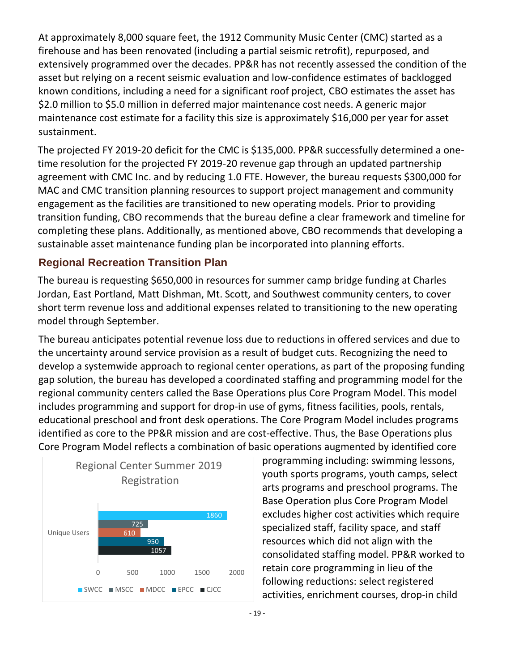At approximately 8,000 square feet, the 1912 Community Music Center (CMC) started as a firehouse and has been renovated (including a partial seismic retrofit), repurposed, and extensively programmed over the decades. PP&R has not recently assessed the condition of the asset but relying on a recent seismic evaluation and low-confidence estimates of backlogged known conditions, including a need for a significant roof project, CBO estimates the asset has \$2.0 million to \$5.0 million in deferred major maintenance cost needs. A generic major maintenance cost estimate for a facility this size is approximately \$16,000 per year for asset sustainment.

The projected FY 2019-20 deficit for the CMC is \$135,000. PP&R successfully determined a onetime resolution for the projected FY 2019-20 revenue gap through an updated partnership agreement with CMC Inc. and by reducing 1.0 FTE. However, the bureau requests \$300,000 for MAC and CMC transition planning resources to support project management and community engagement as the facilities are transitioned to new operating models. Prior to providing transition funding, CBO recommends that the bureau define a clear framework and timeline for completing these plans. Additionally, as mentioned above, CBO recommends that developing a sustainable asset maintenance funding plan be incorporated into planning efforts.

#### **Regional Recreation Transition Plan**

The bureau is requesting \$650,000 in resources for summer camp bridge funding at Charles Jordan, East Portland, Matt Dishman, Mt. Scott, and Southwest community centers, to cover short term revenue loss and additional expenses related to transitioning to the new operating model through September.

The bureau anticipates potential revenue loss due to reductions in offered services and due to the uncertainty around service provision as a result of budget cuts. Recognizing the need to develop a systemwide approach to regional center operations, as part of the proposing funding gap solution, the bureau has developed a coordinated staffing and programming model for the regional community centers called the Base Operations plus Core Program Model. This model includes programming and support for drop-in use of gyms, fitness facilities, pools, rentals, educational preschool and front desk operations. The Core Program Model includes programs identified as core to the PP&R mission and are cost-effective. Thus, the Base Operations plus Core Program Model reflects a combination of basic operations augmented by identified core



programming including: swimming lessons, youth sports programs, youth camps, select arts programs and preschool programs. The Base Operation plus Core Program Model excludes higher cost activities which require specialized staff, facility space, and staff resources which did not align with the consolidated staffing model. PP&R worked to retain core programming in lieu of the following reductions: select registered activities, enrichment courses, drop-in child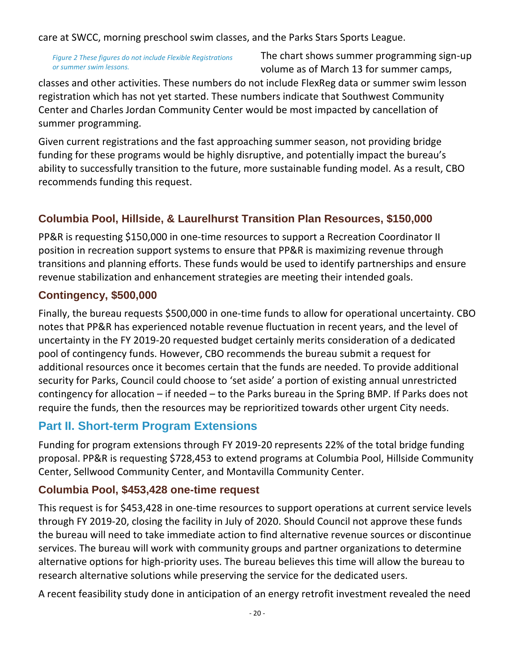care at SWCC, morning preschool swim classes, and the Parks Stars Sports League.

*Figure 2 These figures do not include Flexible Registrations or summer swim lessons.*

The chart shows summer programming sign-up volume as of March 13 for summer camps,

classes and other activities. These numbers do not include FlexReg data or summer swim lesson registration which has not yet started. These numbers indicate that Southwest Community Center and Charles Jordan Community Center would be most impacted by cancellation of summer programming.

Given current registrations and the fast approaching summer season, not providing bridge funding for these programs would be highly disruptive, and potentially impact the bureau's ability to successfully transition to the future, more sustainable funding model. As a result, CBO recommends funding this request.

# **Columbia Pool, Hillside, & Laurelhurst Transition Plan Resources, \$150,000**

PP&R is requesting \$150,000 in one-time resources to support a Recreation Coordinator II position in recreation support systems to ensure that PP&R is maximizing revenue through transitions and planning efforts. These funds would be used to identify partnerships and ensure revenue stabilization and enhancement strategies are meeting their intended goals.

#### **Contingency, \$500,000**

Finally, the bureau requests \$500,000 in one-time funds to allow for operational uncertainty. CBO notes that PP&R has experienced notable revenue fluctuation in recent years, and the level of uncertainty in the FY 2019-20 requested budget certainly merits consideration of a dedicated pool of contingency funds. However, CBO recommends the bureau submit a request for additional resources once it becomes certain that the funds are needed. To provide additional security for Parks, Council could choose to 'set aside' a portion of existing annual unrestricted contingency for allocation – if needed – to the Parks bureau in the Spring BMP. If Parks does not require the funds, then the resources may be reprioritized towards other urgent City needs.

# **Part II. Short-term Program Extensions**

Funding for program extensions through FY 2019-20 represents 22% of the total bridge funding proposal. PP&R is requesting \$728,453 to extend programs at Columbia Pool, Hillside Community Center, Sellwood Community Center, and Montavilla Community Center.

#### **Columbia Pool, \$453,428 one-time request**

This request is for \$453,428 in one-time resources to support operations at current service levels through FY 2019-20, closing the facility in July of 2020. Should Council not approve these funds the bureau will need to take immediate action to find alternative revenue sources or discontinue services. The bureau will work with community groups and partner organizations to determine alternative options for high-priority uses. The bureau believes this time will allow the bureau to research alternative solutions while preserving the service for the dedicated users.

A recent feasibility study done in anticipation of an energy retrofit investment revealed the need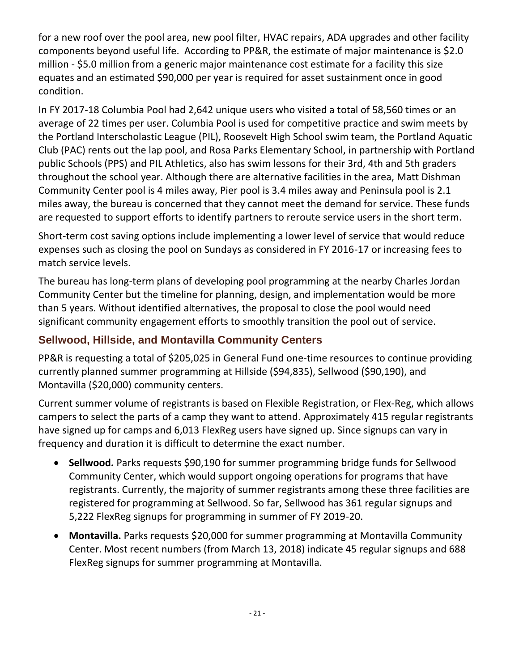for a new roof over the pool area, new pool filter, HVAC repairs, ADA upgrades and other facility components beyond useful life. According to PP&R, the estimate of major maintenance is \$2.0 million - \$5.0 million from a generic major maintenance cost estimate for a facility this size equates and an estimated \$90,000 per year is required for asset sustainment once in good condition.

In FY 2017-18 Columbia Pool had 2,642 unique users who visited a total of 58,560 times or an average of 22 times per user. Columbia Pool is used for competitive practice and swim meets by the Portland Interscholastic League (PIL), Roosevelt High School swim team, the Portland Aquatic Club (PAC) rents out the lap pool, and Rosa Parks Elementary School, in partnership with Portland public Schools (PPS) and PIL Athletics, also has swim lessons for their 3rd, 4th and 5th graders throughout the school year. Although there are alternative facilities in the area, Matt Dishman Community Center pool is 4 miles away, Pier pool is 3.4 miles away and Peninsula pool is 2.1 miles away, the bureau is concerned that they cannot meet the demand for service. These funds are requested to support efforts to identify partners to reroute service users in the short term.

Short-term cost saving options include implementing a lower level of service that would reduce expenses such as closing the pool on Sundays as considered in FY 2016-17 or increasing fees to match service levels.

The bureau has long-term plans of developing pool programming at the nearby Charles Jordan Community Center but the timeline for planning, design, and implementation would be more than 5 years. Without identified alternatives, the proposal to close the pool would need significant community engagement efforts to smoothly transition the pool out of service.

## **Sellwood, Hillside, and Montavilla Community Centers**

PP&R is requesting a total of \$205,025 in General Fund one-time resources to continue providing currently planned summer programming at Hillside (\$94,835), Sellwood (\$90,190), and Montavilla (\$20,000) community centers.

Current summer volume of registrants is based on Flexible Registration, or Flex-Reg, which allows campers to select the parts of a camp they want to attend. Approximately 415 regular registrants have signed up for camps and 6,013 FlexReg users have signed up. Since signups can vary in frequency and duration it is difficult to determine the exact number.

- **Sellwood.** Parks requests \$90,190 for summer programming bridge funds for Sellwood Community Center, which would support ongoing operations for programs that have registrants. Currently, the majority of summer registrants among these three facilities are registered for programming at Sellwood. So far, Sellwood has 361 regular signups and 5,222 FlexReg signups for programming in summer of FY 2019-20.
- **Montavilla.** Parks requests \$20,000 for summer programming at Montavilla Community Center. Most recent numbers (from March 13, 2018) indicate 45 regular signups and 688 FlexReg signups for summer programming at Montavilla.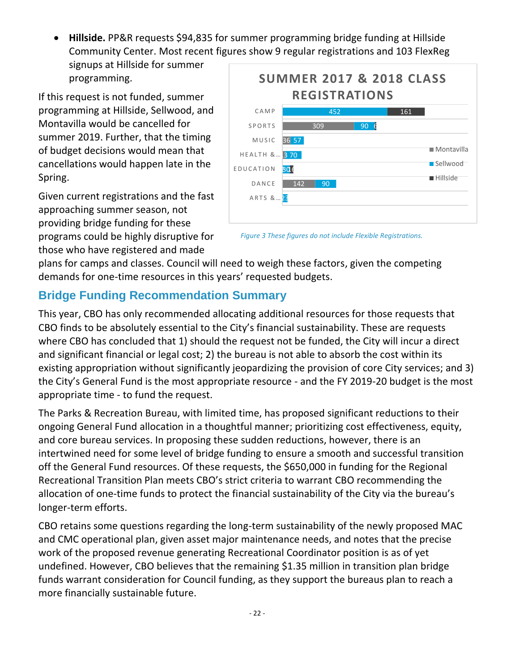- **Hillside.** PP&R requests \$94,835 for summer programming bridge funding at Hillside Community Center. Most recent figures show 9 regular registrations and 103 FlexReg
	- signups at Hillside for summer programming.

If this request is not funded, summer programming at Hillside, Sellwood, and Montavilla would be cancelled for summer 2019. Further, that the timing of budget decisions would mean that cancellations would happen late in the Spring.

Given current registrations and the fast approaching summer season, not providing bridge funding for these programs could be highly disruptive for those who have registered and made



*Figure 3 These figures do not include Flexible Registrations.*

plans for camps and classes. Council will need to weigh these factors, given the competing demands for one-time resources in this years' requested budgets.

# **Bridge Funding Recommendation Summary**

This year, CBO has only recommended allocating additional resources for those requests that CBO finds to be absolutely essential to the City's financial sustainability. These are requests where CBO has concluded that 1) should the request not be funded, the City will incur a direct and significant financial or legal cost; 2) the bureau is not able to absorb the cost within its existing appropriation without significantly jeopardizing the provision of core City services; and 3) the City's General Fund is the most appropriate resource - and the FY 2019-20 budget is the most appropriate time - to fund the request.

The Parks & Recreation Bureau, with limited time, has proposed significant reductions to their ongoing General Fund allocation in a thoughtful manner; prioritizing cost effectiveness, equity, and core bureau services. In proposing these sudden reductions, however, there is an intertwined need for some level of bridge funding to ensure a smooth and successful transition off the General Fund resources. Of these requests, the \$650,000 in funding for the Regional Recreational Transition Plan meets CBO's strict criteria to warrant CBO recommending the allocation of one-time funds to protect the financial sustainability of the City via the bureau's longer-term efforts.

CBO retains some questions regarding the long-term sustainability of the newly proposed MAC and CMC operational plan, given asset major maintenance needs, and notes that the precise work of the proposed revenue generating Recreational Coordinator position is as of yet undefined. However, CBO believes that the remaining \$1.35 million in transition plan bridge funds warrant consideration for Council funding, as they support the bureaus plan to reach a more financially sustainable future.